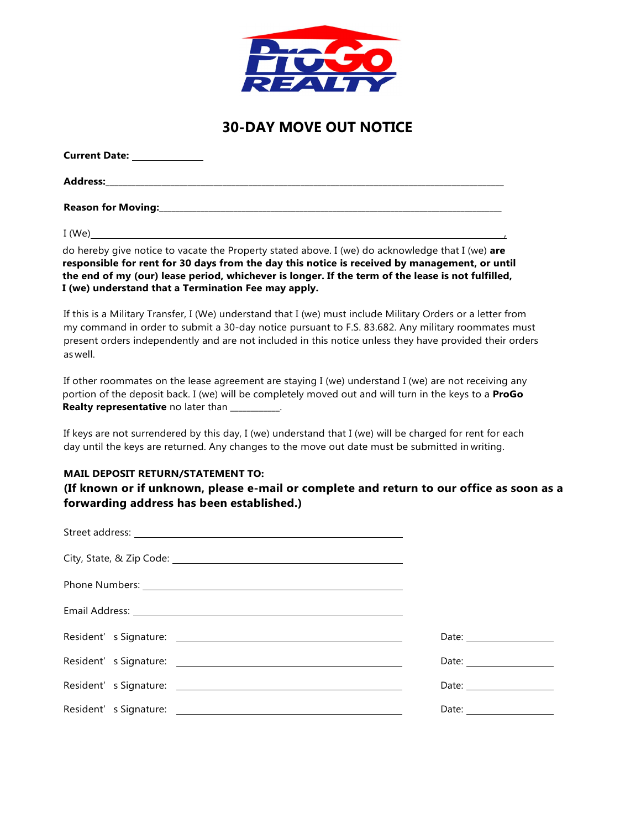

## **30-DAY MOVE OUT NOTICE**

| <b>Current Date:</b>       |  |  |
|----------------------------|--|--|
| <b>Address:</b>            |  |  |
| <b>Reason for Moving:_</b> |  |  |

I (We) ,

do hereby give notice to vacate the Property stated above. I (we) do acknowledge that I (we) **are responsible for rent for 30 days from the day this notice is received by management, or until the end of my (our) lease period, whichever is longer. If the term of the lease is not fulfilled, I (we) understand that a Termination Fee may apply.**

If this is a Military Transfer, I (We) understand that I (we) must include Military Orders or a letter from my command in order to submit a 30-day notice pursuant to F.S. 83.682. Any military roommates must present orders independently and are not included in this notice unless they have provided their orders as well.

If other roommates on the lease agreement are staying I (we) understand I (we) are not receiving any portion of the deposit back. I (we) will be completely moved out and will turn in the keys to a **ProGo Realty representative** no later than  $\frac{1}{2}$ 

If keys are not surrendered by this day, I (we) understand that I (we) will be charged for rent for each day until the keys are returned. Any changes to the move out date must be submitted in writing.

## **MAIL DEPOSIT RETURN/STATEMENT TO:**

**(If known or if unknown, please e-mail or complete and return to our office as soon as a forwarding address has been established.)**

| Resident's Signature: 2008 and 2009 and 2009 and 2009 and 2009 and 2009 and 2009 and 2009 and 2009 and 2009 and 2009 and 2009 and 2009 and 2009 and 2009 and 2009 and 2009 and 2009 and 2009 and 2009 and 2009 and 2009 and 20 |  |
|--------------------------------------------------------------------------------------------------------------------------------------------------------------------------------------------------------------------------------|--|
|                                                                                                                                                                                                                                |  |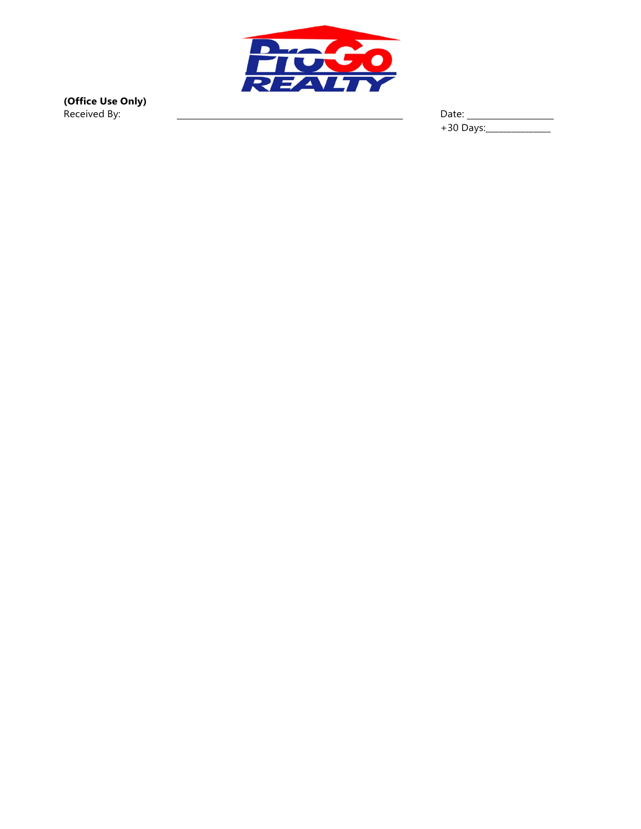

**(Office Use Only)** Received By: Date:

+30 Days:\_\_\_\_\_\_\_\_\_\_\_\_\_\_\_